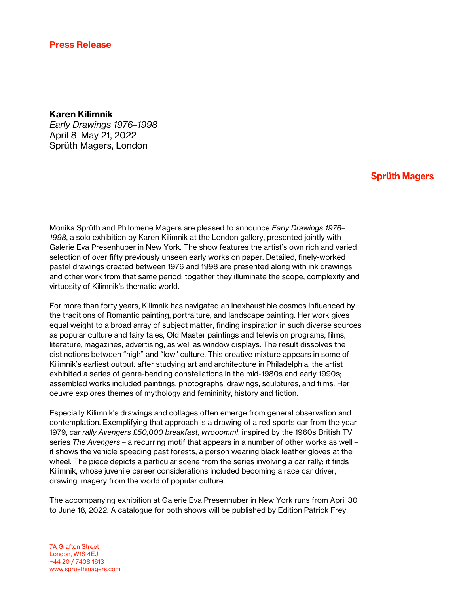## Press Release

## Karen Kilimnik

*Early Drawings 1976–1998* April 8–May 21, 2022 Sprüth Magers, London

## **Sprüth Magers**

Monika Sprüth and Philomene Magers are pleased to announce *Early Drawings 1976– 1998*, a solo exhibition by Karen Kilimnik at the London gallery, presented jointly with Galerie Eva Presenhuber in New York. The show features the artist's own rich and varied selection of over fifty previously unseen early works on paper. Detailed, finely-worked pastel drawings created between 1976 and 1998 are presented along with ink drawings and other work from that same period; together they illuminate the scope, complexity and virtuosity of Kilimnik's thematic world.

For more than forty years, Kilimnik has navigated an inexhaustible cosmos influenced by the traditions of Romantic painting, portraiture, and landscape painting. Her work gives equal weight to a broad array of subject matter, finding inspiration in such diverse sources as popular culture and fairy tales, Old Master paintings and television programs, films, literature, magazines, advertising, as well as window displays. The result dissolves the distinctions between "high" and "low" culture. This creative mixture appears in some of Kilimnik's earliest output: after studying art and architecture in Philadelphia, the artist exhibited a series of genre-bending constellations in the mid-1980s and early 1990s; assembled works included paintings, photographs, drawings, sculptures, and films. Her oeuvre explores themes of mythology and femininity, history and fiction.

Especially Kilimnik's drawings and collages often emerge from general observation and contemplation. Exemplifying that approach is a drawing of a red sports car from the year 1979, *car rally Avengers £50,000 breakfast, vrrooomm!*: inspired by the 1960s British TV series *The Avengers* – a recurring motif that appears in a number of other works as well – it shows the vehicle speeding past forests, a person wearing black leather gloves at the wheel. The piece depicts a particular scene from the series involving a car rally; it finds Kilimnik, whose juvenile career considerations included becoming a race car driver, drawing imagery from the world of popular culture.

The accompanying exhibition at Galerie Eva Presenhuber in New York runs from April 30 to June 18, 2022. A catalogue for both shows will be published by Edition Patrick Frey.

7A Grafton Street London, W1S 4EJ +44 20 / 7408 1613 www.spruethmagers.com